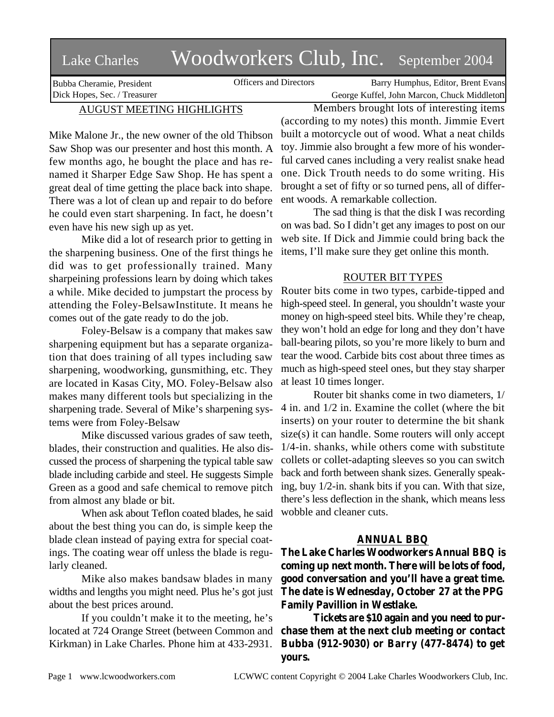## Lake Charles Woodworkers Club, Inc. September 2004

Bubba Cheramie, President Dick Hopes, Sec. / Treasurer

Officers and Directors Barry Humphus, Editor, Brent Evans George Kuffel, John Marcon, Chuck Middleton

## AUGUST MEETING HIGHLIGHTS

Mike Malone Jr., the new owner of the old Thibson Saw Shop was our presenter and host this month. A few months ago, he bought the place and has renamed it Sharper Edge Saw Shop. He has spent a great deal of time getting the place back into shape. There was a lot of clean up and repair to do before he could even start sharpening. In fact, he doesn't even have his new sigh up as yet.

Mike did a lot of research prior to getting in the sharpening business. One of the first things he did was to get professionally trained. Many sharpeining professions learn by doing which takes a while. Mike decided to jumpstart the process by attending the Foley-BelsawInstitute. It means he comes out of the gate ready to do the job.

Foley-Belsaw is a company that makes saw sharpening equipment but has a separate organization that does training of all types including saw sharpening, woodworking, gunsmithing, etc. They are located in Kasas City, MO. Foley-Belsaw also makes many different tools but specializing in the sharpening trade. Several of Mike's sharpening systems were from Foley-Belsaw

Mike discussed various grades of saw teeth, blades, their construction and qualities. He also discussed the process of sharpening the typical table saw blade including carbide and steel. He suggests Simple Green as a good and safe chemical to remove pitch from almost any blade or bit.

When ask about Teflon coated blades, he said about the best thing you can do, is simple keep the blade clean instead of paying extra for special coatings. The coating wear off unless the blade is regularly cleaned.

Mike also makes bandsaw blades in many widths and lengths you might need. Plus he's got just about the best prices around.

If you couldn't make it to the meeting, he's located at 724 Orange Street (between Common and Kirkman) in Lake Charles. Phone him at 433-2931.

Members brought lots of interesting items (according to my notes) this month. Jimmie Evert built a motorcycle out of wood. What a neat childs toy. Jimmie also brought a few more of his wonderful carved canes including a very realist snake head one. Dick Trouth needs to do some writing. His brought a set of fifty or so turned pens, all of different woods. A remarkable collection.

The sad thing is that the disk I was recording on was bad. So I didn't get any images to post on our web site. If Dick and Jimmie could bring back the items, I'll make sure they get online this month.

## ROUTER BIT TYPES

Router bits come in two types, carbide-tipped and high-speed steel. In general, you shouldn't waste your money on high-speed steel bits. While they're cheap, they won't hold an edge for long and they don't have ball-bearing pilots, so you're more likely to burn and tear the wood. Carbide bits cost about three times as much as high-speed steel ones, but they stay sharper at least 10 times longer.

Router bit shanks come in two diameters, 1/ 4 in. and 1/2 in. Examine the collet (where the bit inserts) on your router to determine the bit shank size(s) it can handle. Some routers will only accept 1/4-in. shanks, while others come with substitute collets or collet-adapting sleeves so you can switch back and forth between shank sizes. Generally speaking, buy 1/2-in. shank bits if you can. With that size, there's less deflection in the shank, which means less wobble and cleaner cuts.

## **ANNUAL BBQ**

**The Lake Charles Woodworkers Annual BBQ is coming up next month. There will be lots of food, good conversation and you'll have a great time. The date is Wednesday, October 27 at the PPG Family Pavillion in Westlake.**

**Tickets are \$10 again and you need to purchase them at the next club meeting or contact Bubba (912-9030) or Barry (477-8474) to get yours.**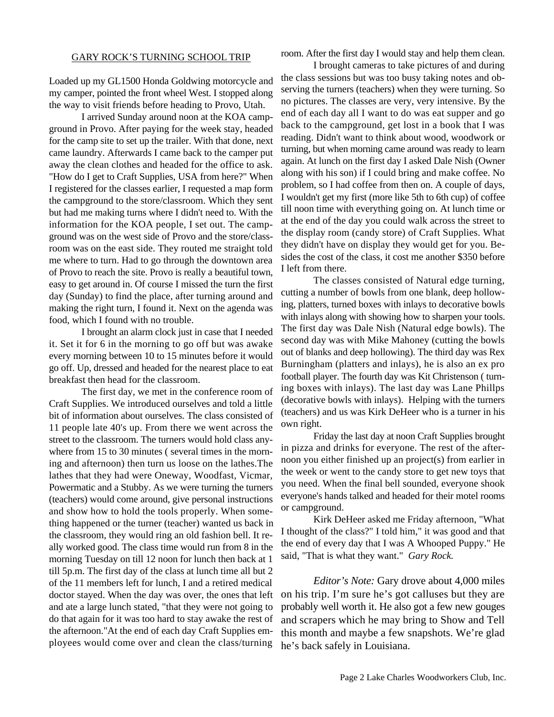Loaded up my GL1500 Honda Goldwing motorcycle and my camper, pointed the front wheel West. I stopped along the way to visit friends before heading to Provo, Utah.

I arrived Sunday around noon at the KOA campground in Provo. After paying for the week stay, headed for the camp site to set up the trailer. With that done, next came laundry. Afterwards I came back to the camper put away the clean clothes and headed for the office to ask. "How do I get to Craft Supplies, USA from here?" When I registered for the classes earlier, I requested a map form the campground to the store/classroom. Which they sent but had me making turns where I didn't need to. With the information for the KOA people, I set out. The campground was on the west side of Provo and the store/classroom was on the east side. They routed me straight told me where to turn. Had to go through the downtown area of Provo to reach the site. Provo is really a beautiful town, easy to get around in. Of course I missed the turn the first day (Sunday) to find the place, after turning around and making the right turn, I found it. Next on the agenda was food, which I found with no trouble.

I brought an alarm clock just in case that I needed it. Set it for 6 in the morning to go off but was awake every morning between 10 to 15 minutes before it would go off. Up, dressed and headed for the nearest place to eat breakfast then head for the classroom.

The first day, we met in the conference room of Craft Supplies. We introduced ourselves and told a little bit of information about ourselves. The class consisted of 11 people late 40's up. From there we went across the street to the classroom. The turners would hold class anywhere from 15 to 30 minutes (several times in the morning and afternoon) then turn us loose on the lathes.The lathes that they had were Oneway, Woodfast, Vicmar, Powermatic and a Stubby. As we were turning the turners (teachers) would come around, give personal instructions and show how to hold the tools properly. When something happened or the turner (teacher) wanted us back in the classroom, they would ring an old fashion bell. It really worked good. The class time would run from 8 in the morning Tuesday on till 12 noon for lunch then back at 1 till 5p.m. The first day of the class at lunch time all but 2 of the 11 members left for lunch, I and a retired medical doctor stayed. When the day was over, the ones that left and ate a large lunch stated, "that they were not going to do that again for it was too hard to stay awake the rest of the afternoon."At the end of each day Craft Supplies employees would come over and clean the class/turning

room. After the first day I would stay and help them clean.

I brought cameras to take pictures of and during the class sessions but was too busy taking notes and observing the turners (teachers) when they were turning. So no pictures. The classes are very, very intensive. By the end of each day all I want to do was eat supper and go back to the campground, get lost in a book that I was reading. Didn't want to think about wood, woodwork or turning, but when morning came around was ready to learn again. At lunch on the first day I asked Dale Nish (Owner along with his son) if I could bring and make coffee. No problem, so I had coffee from then on. A couple of days, I wouldn't get my first (more like 5th to 6th cup) of coffee till noon time with everything going on. At lunch time or at the end of the day you could walk across the street to the display room (candy store) of Craft Supplies. What they didn't have on display they would get for you. Besides the cost of the class, it cost me another \$350 before I left from there.

The classes consisted of Natural edge turning, cutting a number of bowls from one blank, deep hollowing, platters, turned boxes with inlays to decorative bowls with inlays along with showing how to sharpen your tools. The first day was Dale Nish (Natural edge bowls). The second day was with Mike Mahoney (cutting the bowls out of blanks and deep hollowing). The third day was Rex Burningham (platters and inlays), he is also an ex pro football player. The fourth day was Kit Christenson ( turning boxes with inlays). The last day was Lane Phillps (decorative bowls with inlays). Helping with the turners (teachers) and us was Kirk DeHeer who is a turner in his own right.

Friday the last day at noon Craft Supplies brought in pizza and drinks for everyone. The rest of the afternoon you either finished up an project(s) from earlier in the week or went to the candy store to get new toys that you need. When the final bell sounded, everyone shook everyone's hands talked and headed for their motel rooms or campground.

Kirk DeHeer asked me Friday afternoon, "What I thought of the class?" I told him," it was good and that the end of every day that I was A Whooped Puppy." He said, "That is what they want." *Gary Rock.*

*Editor's Note:* Gary drove about 4,000 miles on his trip. I'm sure he's got calluses but they are probably well worth it. He also got a few new gouges and scrapers which he may bring to Show and Tell this month and maybe a few snapshots. We're glad he's back safely in Louisiana.